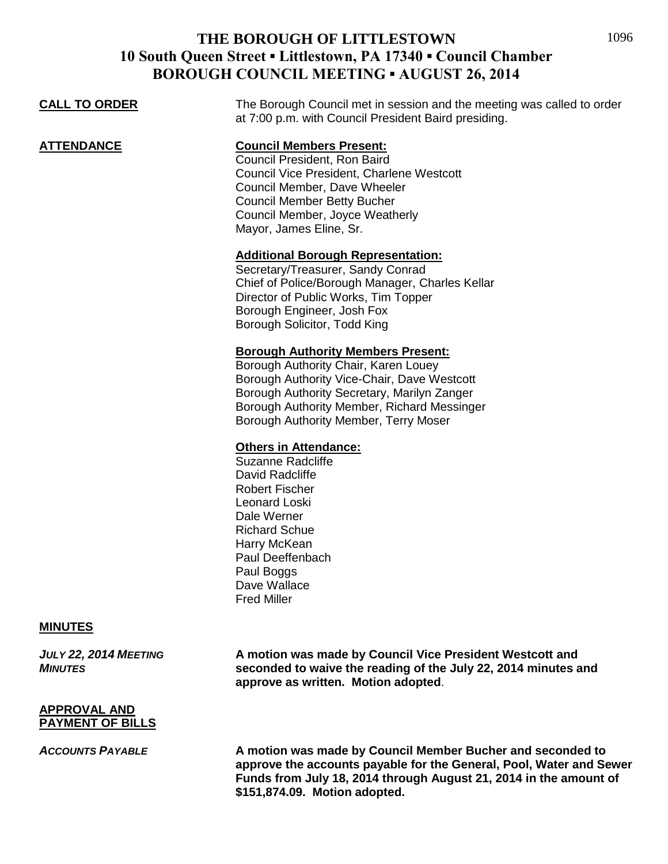|                      | on coortenamente no dos r                                                                                                                                                                                                                                               |
|----------------------|-------------------------------------------------------------------------------------------------------------------------------------------------------------------------------------------------------------------------------------------------------------------------|
| <b>CALL TO ORDER</b> | The Borough Council met in session and the meeting was called to order<br>at 7:00 p.m. with Council President Baird presiding.                                                                                                                                          |
| <b>ATTENDANCE</b>    | <b>Council Members Present:</b><br>Council President, Ron Baird<br>Council Vice President, Charlene Westcott<br>Council Member, Dave Wheeler<br><b>Council Member Betty Bucher</b><br>Council Member, Joyce Weatherly<br>Mayor, James Eline, Sr.                        |
|                      | <b>Additional Borough Representation:</b><br>Secretary/Treasurer, Sandy Conrad<br>Chief of Police/Borough Manager, Charles Kellar<br>Director of Public Works, Tim Topper<br>Borough Engineer, Josh Fox<br>Borough Solicitor, Todd King                                 |
|                      | <b>Borough Authority Members Present:</b><br>Borough Authority Chair, Karen Louey<br>Borough Authority Vice-Chair, Dave Westcott<br>Borough Authority Secretary, Marilyn Zanger<br>Borough Authority Member, Richard Messinger<br>Borough Authority Member, Terry Moser |
|                      | <b>Others in Attendance:</b><br><b>Suzanne Radcliffe</b><br>David Radcliffe<br><b>Robert Fischer</b><br>Leonard Loski<br>Dale Werner<br><b>Richard Schue</b><br>Harry McKean<br>Paul Deeffenbach<br>Paul Boggs<br>Dave Wallace<br><b>Fred Miller</b>                    |
| <b>MINUTES</b>       |                                                                                                                                                                                                                                                                         |

*JULY 22, 2014 MEETING* **A motion was made by Council Vice President Westcott and**  *MINUTES* **seconded to waive the reading of the July 22, 2014 minutes and approve as written. Motion adopted**.

#### **APPROVAL AND PAYMENT OF BILLS**

*ACCOUNTS PAYABLE* **A motion was made by Council Member Bucher and seconded to approve the accounts payable for the General, Pool, Water and Sewer Funds from July 18, 2014 through August 21, 2014 in the amount of \$151,874.09. Motion adopted.**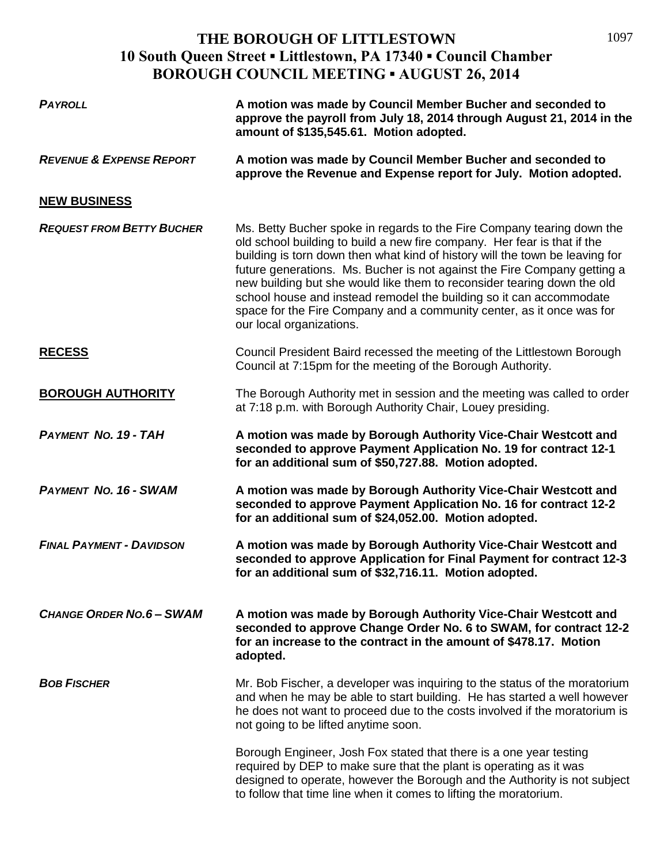1097

| <b>PAYROLL</b>                      | A motion was made by Council Member Bucher and seconded to<br>approve the payroll from July 18, 2014 through August 21, 2014 in the<br>amount of \$135,545.61. Motion adopted.                                                                                                                                                                                                                                                                                                                                                                                        |
|-------------------------------------|-----------------------------------------------------------------------------------------------------------------------------------------------------------------------------------------------------------------------------------------------------------------------------------------------------------------------------------------------------------------------------------------------------------------------------------------------------------------------------------------------------------------------------------------------------------------------|
| <b>REVENUE &amp; EXPENSE REPORT</b> | A motion was made by Council Member Bucher and seconded to<br>approve the Revenue and Expense report for July. Motion adopted.                                                                                                                                                                                                                                                                                                                                                                                                                                        |
| <b>NEW BUSINESS</b>                 |                                                                                                                                                                                                                                                                                                                                                                                                                                                                                                                                                                       |
| <b>REQUEST FROM BETTY BUCHER</b>    | Ms. Betty Bucher spoke in regards to the Fire Company tearing down the<br>old school building to build a new fire company. Her fear is that if the<br>building is torn down then what kind of history will the town be leaving for<br>future generations. Ms. Bucher is not against the Fire Company getting a<br>new building but she would like them to reconsider tearing down the old<br>school house and instead remodel the building so it can accommodate<br>space for the Fire Company and a community center, as it once was for<br>our local organizations. |
| <b>RECESS</b>                       | Council President Baird recessed the meeting of the Littlestown Borough<br>Council at 7:15pm for the meeting of the Borough Authority.                                                                                                                                                                                                                                                                                                                                                                                                                                |
| <b>BOROUGH AUTHORITY</b>            | The Borough Authority met in session and the meeting was called to order<br>at 7:18 p.m. with Borough Authority Chair, Louey presiding.                                                                                                                                                                                                                                                                                                                                                                                                                               |
| <b>PAYMENT NO. 19 - TAH</b>         | A motion was made by Borough Authority Vice-Chair Westcott and<br>seconded to approve Payment Application No. 19 for contract 12-1<br>for an additional sum of \$50,727.88. Motion adopted.                                                                                                                                                                                                                                                                                                                                                                           |
| <b>PAYMENT NO. 16 - SWAM</b>        | A motion was made by Borough Authority Vice-Chair Westcott and<br>seconded to approve Payment Application No. 16 for contract 12-2<br>for an additional sum of \$24,052.00. Motion adopted.                                                                                                                                                                                                                                                                                                                                                                           |
| <b>FINAL PAYMENT - DAVIDSON</b>     | A motion was made by Borough Authority Vice-Chair Westcott and<br>seconded to approve Application for Final Payment for contract 12-3<br>for an additional sum of \$32,716.11. Motion adopted.                                                                                                                                                                                                                                                                                                                                                                        |
| <b>CHANGE ORDER NO.6 - SWAM</b>     | A motion was made by Borough Authority Vice-Chair Westcott and<br>seconded to approve Change Order No. 6 to SWAM, for contract 12-2<br>for an increase to the contract in the amount of \$478.17. Motion<br>adopted.                                                                                                                                                                                                                                                                                                                                                  |
| <b>BOB FISCHER</b>                  | Mr. Bob Fischer, a developer was inquiring to the status of the moratorium<br>and when he may be able to start building. He has started a well however<br>he does not want to proceed due to the costs involved if the moratorium is<br>not going to be lifted anytime soon.                                                                                                                                                                                                                                                                                          |
|                                     | Borough Engineer, Josh Fox stated that there is a one year testing<br>required by DEP to make sure that the plant is operating as it was<br>designed to operate, however the Borough and the Authority is not subject<br>to follow that time line when it comes to lifting the moratorium.                                                                                                                                                                                                                                                                            |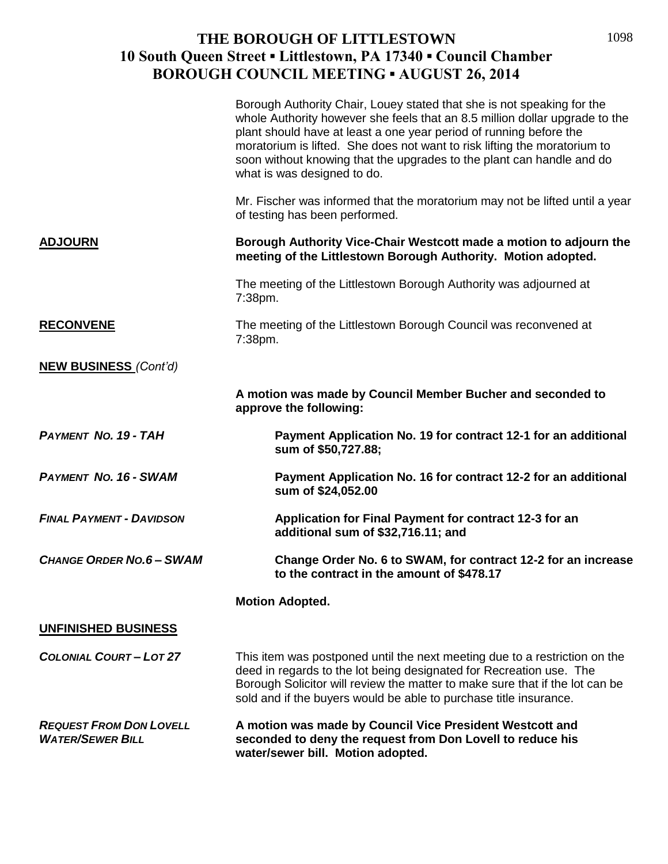|                                                           | Borough Authority Chair, Louey stated that she is not speaking for the<br>whole Authority however she feels that an 8.5 million dollar upgrade to the<br>plant should have at least a one year period of running before the<br>moratorium is lifted. She does not want to risk lifting the moratorium to<br>soon without knowing that the upgrades to the plant can handle and do<br>what is was designed to do. |
|-----------------------------------------------------------|------------------------------------------------------------------------------------------------------------------------------------------------------------------------------------------------------------------------------------------------------------------------------------------------------------------------------------------------------------------------------------------------------------------|
|                                                           | Mr. Fischer was informed that the moratorium may not be lifted until a year<br>of testing has been performed.                                                                                                                                                                                                                                                                                                    |
| <b>ADJOURN</b>                                            | Borough Authority Vice-Chair Westcott made a motion to adjourn the<br>meeting of the Littlestown Borough Authority. Motion adopted.                                                                                                                                                                                                                                                                              |
|                                                           | The meeting of the Littlestown Borough Authority was adjourned at<br>7:38pm.                                                                                                                                                                                                                                                                                                                                     |
| <b>RECONVENE</b>                                          | The meeting of the Littlestown Borough Council was reconvened at<br>7:38pm.                                                                                                                                                                                                                                                                                                                                      |
| <b>NEW BUSINESS (Cont'd)</b>                              |                                                                                                                                                                                                                                                                                                                                                                                                                  |
|                                                           | A motion was made by Council Member Bucher and seconded to<br>approve the following:                                                                                                                                                                                                                                                                                                                             |
| <b>PAYMENT NO. 19 - TAH</b>                               | Payment Application No. 19 for contract 12-1 for an additional<br>sum of \$50,727.88;                                                                                                                                                                                                                                                                                                                            |
| <b>PAYMENT NO. 16 - SWAM</b>                              | Payment Application No. 16 for contract 12-2 for an additional<br>sum of \$24,052.00                                                                                                                                                                                                                                                                                                                             |
| <b>FINAL PAYMENT - DAVIDSON</b>                           | Application for Final Payment for contract 12-3 for an<br>additional sum of \$32,716.11; and                                                                                                                                                                                                                                                                                                                     |
| <b>CHANGE ORDER NO.6 - SWAM</b>                           | Change Order No. 6 to SWAM, for contract 12-2 for an increase<br>to the contract in the amount of \$478.17                                                                                                                                                                                                                                                                                                       |
|                                                           | <b>Motion Adopted.</b>                                                                                                                                                                                                                                                                                                                                                                                           |
| <b>UNFINISHED BUSINESS</b>                                |                                                                                                                                                                                                                                                                                                                                                                                                                  |
| <b>COLONIAL COURT-LOT 27</b>                              | This item was postponed until the next meeting due to a restriction on the<br>deed in regards to the lot being designated for Recreation use. The<br>Borough Solicitor will review the matter to make sure that if the lot can be<br>sold and if the buyers would be able to purchase title insurance.                                                                                                           |
| <b>REQUEST FROM DON LOVELL</b><br><b>WATER/SEWER BILL</b> | A motion was made by Council Vice President Westcott and<br>seconded to deny the request from Don Lovell to reduce his<br>water/sewer bill. Motion adopted.                                                                                                                                                                                                                                                      |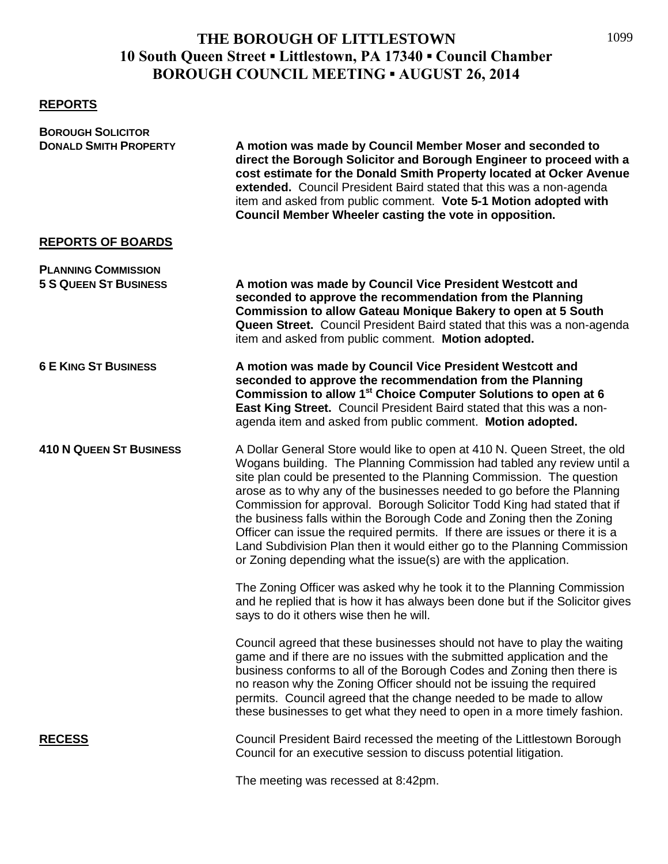#### **REPORTS**

| <b>BOROUGH SOLICITOR</b>                                   |                                                                                                                                                                                                                                                                                                                                                                                                                                                                                                                                                                                                                                                                                           |
|------------------------------------------------------------|-------------------------------------------------------------------------------------------------------------------------------------------------------------------------------------------------------------------------------------------------------------------------------------------------------------------------------------------------------------------------------------------------------------------------------------------------------------------------------------------------------------------------------------------------------------------------------------------------------------------------------------------------------------------------------------------|
| <b>DONALD SMITH PROPERTY</b>                               | A motion was made by Council Member Moser and seconded to<br>direct the Borough Solicitor and Borough Engineer to proceed with a<br>cost estimate for the Donald Smith Property located at Ocker Avenue<br>extended. Council President Baird stated that this was a non-agenda<br>item and asked from public comment. Vote 5-1 Motion adopted with<br>Council Member Wheeler casting the vote in opposition.                                                                                                                                                                                                                                                                              |
| <b>REPORTS OF BOARDS</b>                                   |                                                                                                                                                                                                                                                                                                                                                                                                                                                                                                                                                                                                                                                                                           |
| <b>PLANNING COMMISSION</b><br><b>5 S QUEEN ST BUSINESS</b> | A motion was made by Council Vice President Westcott and<br>seconded to approve the recommendation from the Planning<br><b>Commission to allow Gateau Monique Bakery to open at 5 South</b><br>Queen Street. Council President Baird stated that this was a non-agenda<br>item and asked from public comment. Motion adopted.                                                                                                                                                                                                                                                                                                                                                             |
| <b>6 E KING ST BUSINESS</b>                                | A motion was made by Council Vice President Westcott and<br>seconded to approve the recommendation from the Planning<br>Commission to allow 1 <sup>st</sup> Choice Computer Solutions to open at 6<br>East King Street. Council President Baird stated that this was a non-<br>agenda item and asked from public comment. Motion adopted.                                                                                                                                                                                                                                                                                                                                                 |
| <b>410 N QUEEN ST BUSINESS</b>                             | A Dollar General Store would like to open at 410 N. Queen Street, the old<br>Wogans building. The Planning Commission had tabled any review until a<br>site plan could be presented to the Planning Commission. The question<br>arose as to why any of the businesses needed to go before the Planning<br>Commission for approval. Borough Solicitor Todd King had stated that if<br>the business falls within the Borough Code and Zoning then the Zoning<br>Officer can issue the required permits. If there are issues or there it is a<br>Land Subdivision Plan then it would either go to the Planning Commission<br>or Zoning depending what the issue(s) are with the application. |
|                                                            | The Zoning Officer was asked why he took it to the Planning Commission<br>and he replied that is how it has always been done but if the Solicitor gives<br>says to do it others wise then he will.                                                                                                                                                                                                                                                                                                                                                                                                                                                                                        |
|                                                            | Council agreed that these businesses should not have to play the waiting<br>game and if there are no issues with the submitted application and the<br>business conforms to all of the Borough Codes and Zoning then there is<br>no reason why the Zoning Officer should not be issuing the required<br>permits. Council agreed that the change needed to be made to allow<br>these businesses to get what they need to open in a more timely fashion.                                                                                                                                                                                                                                     |
| <b>RECESS</b>                                              | Council President Baird recessed the meeting of the Littlestown Borough<br>Council for an executive session to discuss potential litigation.                                                                                                                                                                                                                                                                                                                                                                                                                                                                                                                                              |
|                                                            | The meeting was recessed at 8:42pm.                                                                                                                                                                                                                                                                                                                                                                                                                                                                                                                                                                                                                                                       |